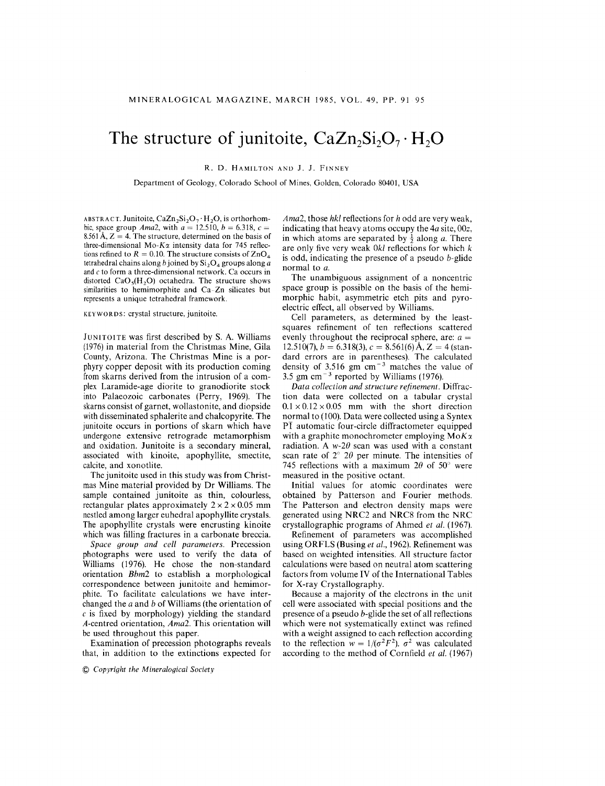## The structure of junitoite,  $CaZn_2Si_2O_7 \cdot H_2O$

R. D. HAMILTON AND J. J. FINNEY

Department of Geology, Colorado School of Mines, Golden, Colorado 80401, USA

ABSTRACT. Junitoite,  $CaZn_2Si_2O_7 \cdot H_2O$ , is orthorhombic, space group *Ama*2, with  $a = 12.510, b = 6.318, c =$ 8.561 A,  $Z = 4$ . The structure, determined on the basis of three-dimensional Mo- $K\alpha$  intensity data for 745 reflections refined to  $R = 0.10$ . The structure consists of ZnC tetrahedral chains along *b* joined by  $Si<sub>2</sub>O<sub>4</sub>$  groups along *a* and c to form a three-dimensional network. Ca occurs in distorted  $CaO<sub>5</sub>(H<sub>2</sub>O)$  octahedra. The structure shows similarities to hemimorphite and Ca-Zn silicates but represents a unique tetrahedral framework.

KEYWORDS: crystal structure, junitoite.

JUNITOITE was first described by S. A. Williams (1976) in material from the Christmas Mine, Gila County, Arizona. The Christmas Mine is a porphyry copper deposit with its production coming from skarns derived from the intrusion of a complex Laramide-age diorite to granodiorite stock into Palaeozoic carbonates (Perry, 1969). The skarns consist of garnet, wollastonite, and diopside with disseminated sphalerite and chalcopyrite. The junitoite occurs in portions of skarn which have undergone extensive retrograde metamorphism and oxidation. lunitoite is a secondary mineral, associated with kinoite, apophyllite, smectite, calcite, and xonotlite.

The junitoite used in this study was from Christmas Mine material provided by Dr Williams. The sample contained junitoite as thin, colourless, rectangular plates approximately  $2 \times 2 \times 0.05$  mm nestled among larger euhedral apophyllite crystals. The apophyllite crystals were encrusting kinoite which was filling fractures in a carbonate breccia.

*Space group and cell parameters.* Precession photographs were used to verify the data of Williams (1976). He chose the non-standard orientation *Bbm2* to establish a morphological correspondence between junitoite and hemimorphite. To facilitate calculations we have interchanged the *a* and *b* of Williams (the orientation of  $c$  is fixed by morphology) yielding the standard *A-centred* orientation, *Ama2.* This orientation will be used throughout this paper.

Examination of precession photographs reveals that, in addition to the extinctions expected for

 $~$  *Copyright the Mineralogical Society* 

*Ama2,* those *hkl* reflections for *h* odd are very weak, indicating that heavy atoms occupy the *4a* site, *OOz,* in which atoms are separated by  $\frac{1}{2}$  along *a*. There are only five very weak *Okl* reflections for which *k* is odd, indicating the presence of a pseudo b-glide normal to *a.*

The unambiguous assignment of a noncentric space group is possible on the basis of the hemimorphic habit, asymmetric etch pits and pyroelectric effect, all observed by Williams.

Cell parameters, as determined by the leastsquares refinement of ten reflections scattered evenly throughout the reciprocal sphere, are:  $a =$  $12.510(7)$ ,  $b = 6.318(3)$ ,  $c = 8.561(6)$  Å,  $Z = 4$  (standard errors are in parentheses). The calculated density of 3.516 gm  $cm^{-3}$  matches the value of 3.5 gm cm<sup> $-3$ </sup> reported by Williams (1976).

*Data collection and structure refinement.* Diffraction data were collected on a tabular crystal  $0.1 \times 0.12 \times 0.05$  mm with the short direction normal to (100). Data were collected using a Syntex  $\overline{PI}$  automatic four-circle diffractometer equipped with a graphite monochrometer employing  $M \circ K \alpha$ radiation. A  $w=2\theta$  scan was used with a constant scan rate of  $2^{\circ}$  20 per minute. The intensities of 745 reflections with a maximum  $2\theta$  of 50° were measured in the positive octant.

Initial values for atomic coordinates were obtained by Patterson and Fourier methods. The Patterson and electron density maps were generated using NRC2 and NRC8 from the NRC crystallographic programs of Ahmed et al. *(1967).*

Refinement of parameters was accomplished using ORFLS (Busing *et al.,* 1962). Refinement was based on weighted intensities. All structure factor calculations were based on neutral atom scattering factors from volume **IV** of the International Tables for X-ray Crystallography.

Because a majority of the electrons in the unit cell were associated with special positions and the presence of a pseudo b-glide the set of all reflections which were not systematically extinct was refined with a weight assigned to each reflection according to the reflection  $w = 1/(\sigma^2 F^2)$ .  $\sigma^2$  was calculate according to the method of Cornfield et al. *(1967)*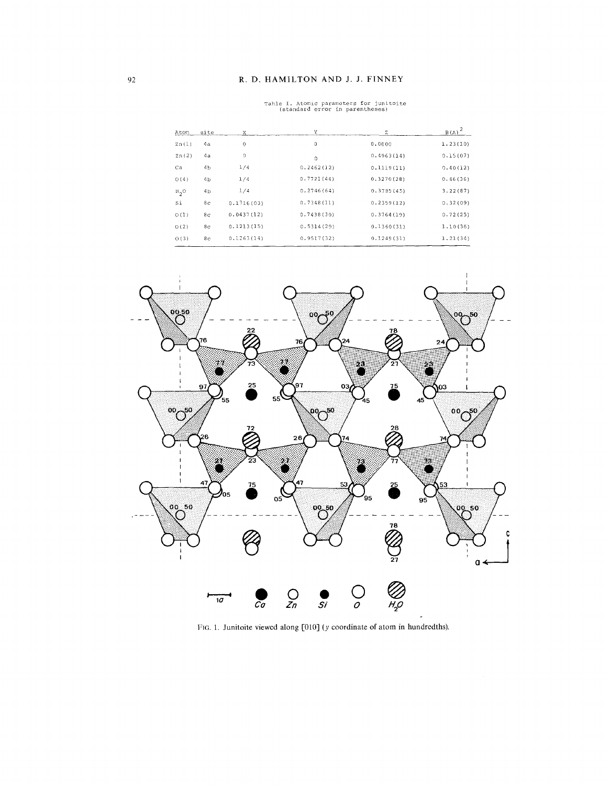## R. D. HAMILTON AND J. J. FINNEY

| site<br>Atom         |                | X.          | Υ            | z          | $B(A)^2$ |
|----------------------|----------------|-------------|--------------|------------|----------|
| Zn(1)                | 4a             | $\bf{0}$    | $\mathbf{0}$ | 0.0000     | 1.23(10) |
| Zn(2)                | 4a             | 0           | $\Omega$     | 0.4963(14) | 0.15(07) |
| Ca                   | 4 <sub>b</sub> | 1/4         | 0.2462(12)   | 0.1119(11) | 0.40(12) |
| O(4)                 | 4 <sub>b</sub> | 1/4         | 0.7721(44)   | 0.3270(28) | 0.46(36) |
| $H_{2}$ <sup>O</sup> | 4 <sub>b</sub> | 1/4         | 0.2746(64)   | 0.3785(45) | 3.22(87) |
| Si                   | 8с             | 0.1316(03)  | 0.7348(11)   | 0.2359(12) | 0.32(09) |
| O(1)                 | 8 <sub>C</sub> | 0.0437(12)  | 0.7438(30)   | 0.3764(19) | 0.72(25) |
| O(2)                 | 8 <sub>c</sub> | 0.1213(15)  | 0.5314(29)   | 0.1360(31) | 1.10(36) |
| O(3)                 | 8c             | 0, 1263(14) | 0.9517(32)   | 0.1249(31) | 1.21(34) |
|                      |                |             |              |            |          |

Table I. Atomic parameters for junitoite<br>(standard error in parentheses)



FIG. 1. Junitoite viewed along [010] (y coordinate of atom in hundredths).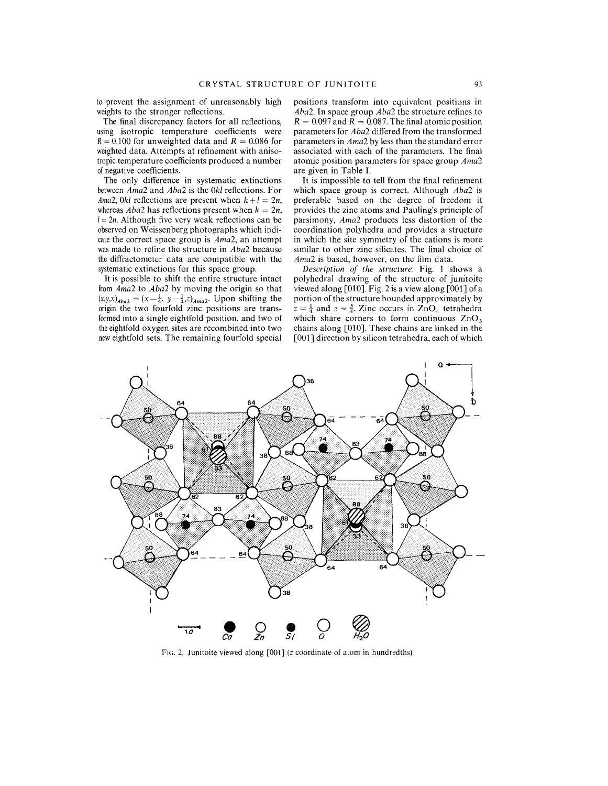to prevent the assignment of unreasonably high weights to the stronger reflections.

The final discrepancy factors for all reflections, using isotropic temperature coefficients were  $R = 0.100$  for unweighted data and  $R = 0.086$  for weighted data. Attempts at refinement with anisotropic temperature coefficients produced a number ofnegative coefficients.

The only difference in systematic extinctions between*Ama2* and *Aba2* is the *Okl* reflections. For *Ama2, Okl* reflections are present when  $k+l = 2n$ , whereas  $Aba2$  has reflections present when  $k = 2n$ ,  $l = 2n$ . Although five very weak reflections can be observed on Weissenberg photographs which indicate the correct space group is *Ama2*, an attempt was made to refine the structure in *Aba2* because the diffractometer data are compatible with the systematic extinctions for this space group.

It is possible to shift the entire structure intact from Ama2 to *Aba2* by moving the origin so that  $(x,y,x)_{Aba2} = (x-\frac{1}{4}, y-\frac{1}{4},z)_{Ama2}$ . Upon shifting the origin the two fourfold zinc positions are transformed into a single eightfold position, and two of the eightfold oxygen sites are recombined into two neweightfold sets. The remaining fourfold special

positions transform into equivalent positions in *Aba2.* In space group *Aba2* the structure refines to  $R = 0.097$  and  $R = 0.087$ . The final atomic position parameters for *Aba2* differed from the transformed parameters in *Ama2* by less than the standard error associated with each of the parameters. The final atomic position parameters for space group *Ama2* are given in Table 1.

It is impossible to tell from the final refinement which space group is correct. Although *Aba2* is preferable based on the degree of freedom it provides the zinc atoms and Pauling's principle of parsimony, *Ama2* produces less distortion of the coordination polyhedra and provides a structure in which the site symmetry of the cations is more similar to other zinc silicates. The final choice of Ama2 is based, however, on the film data.

*Description of the structure.* Fig. 1 shows a polyhedral drawing of the structure of junitoite viewed along [010]. Fig. 2 is a view along [OOIJ of a portion of the structure bounded approximately by  $z = \frac{1}{4}$  and  $z = \frac{3}{4}$ . Zinc occurs in  $ZnO_4$  tetrahedra which share corners to form continuous  $ZnO<sub>3</sub>$ chains along [010]. These chains are linked in the [OOIJ direction by silicon tetrahedra, each of which



FIG. 2. Junitoite viewed along [001] (z coordinate of atom in hundredths).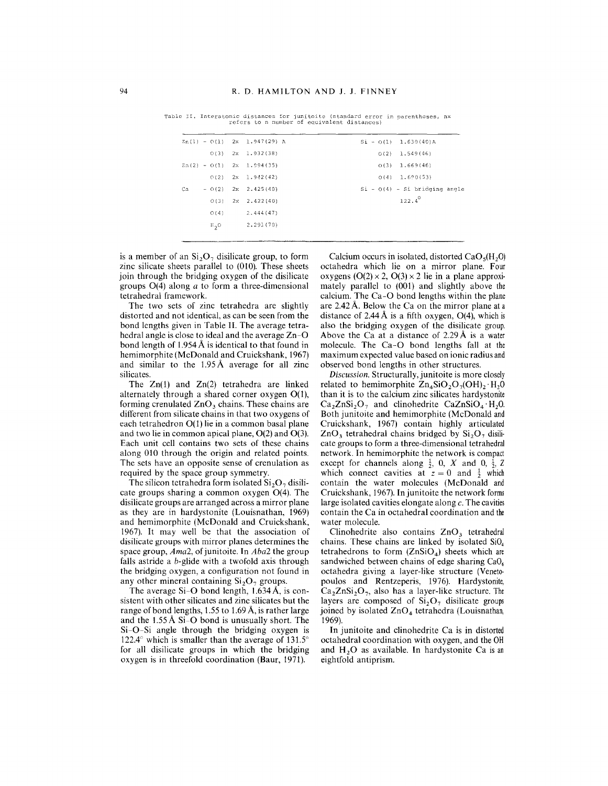|    |          | $Zn(1) - Q(1)$ 2x 1.947(29) A |  | $Si - O(1)$ 1.630(40)A          |
|----|----------|-------------------------------|--|---------------------------------|
|    |          | $O(3)$ 2x 1.932(38)           |  | $Q(2)$ 1.549(46)                |
|    |          | $Zn(2) - O(1)$ 2x 1.994(35)   |  | $O(3)$ 1.669(46)                |
|    |          | $0(2)$ 2x 1.942(42)           |  | $O(4)$ 1.690(53)                |
| Ca |          | $-0(2)$ 2x 2.425(40)          |  | $Si - O(4) - Si bridging angle$ |
|    |          | $O(3)$ 2x 2.422(40)           |  | $122.4^{\circ}$                 |
|    | O(4)     | 2.444 (47)                    |  |                                 |
|    | $H_{2}O$ | 2.291(70)                     |  |                                 |
|    |          |                               |  |                                 |

Table II. Interatomic distances for junitoite (standa~d error in parentheses, nx refers to n number of equivalent distances)

is a member of an  $Si<sub>2</sub>O<sub>7</sub>$  disilicate group, to form zinc silicate sheets parallel to (010). These sheets join through the bridging oxygen of the disilicate groups 0(4) along *a* to form a three-dimensional tetrahedral framework.

The two sets of zinc tetrahedra are slightly distorted and not identical, as can be seen from the bond lengths given in Table **II.** The average tetrahedral angle is close to ideal and the average Zn-O bond length of  $1.954 \text{ Å}$  is identical to that found in hemimorphite (McDonald and Cruickshank, 1967) and similar to the 1.95A average for all zinc silicates.

The  $Zn(1)$  and  $Zn(2)$  tetrahedra are linked alternately through a shared corner oxygen 0(1), forming crenulated  $ZnO<sub>3</sub>$  chains. These chains are different from silicate chains in that two oxygens of each tetrahedron 0(1) lie in a common basal plane and two lie in common apical plane,  $O(2)$  and  $O(3)$ . Each unit cell contains two sets of these chains along 010 through the origin and related points. The sets have an opposite sense of crenulation as required by the space group symmetry.

The silicon tetrahedra form isolated  $Si<sub>2</sub>O<sub>7</sub>$  disilicate groups sharing a common oxygen 0(4). The disilicate groups are arranged across a mirror plane as they are in hardystonite (Louisnathan, 1969) and hemimorphite (McDonald and Cruickshank, 1967). It may well be that the association of disilicate groups with mirror planes determines the space group, *Ama*2, of junitoite. In *Aba*2 the group falls astride a b-glide with a twofold axis through the bridging oxygen, a configuration not found in any other mineral containing  $Si<sub>2</sub>O<sub>7</sub>$  groups.

The average Si-O bond length,  $1.634 \text{ Å}$ , is consistent with other silicates and zinc silicates but the range of bond lengths,  $1.55$  to  $1.69$  Å, is rather large and the 1.55A Si-O bond is unusually short. The Si-O-Si angle through the bridging oxygen is 122.4 $\degree$  which is smaller than the average of 131.5 $\degree$ for all disilicate groups in which the bridging oxygen is in threefold coordination (Baur, 1971).

Calcium occurs in isolated, distorted  $CaO<sub>5</sub>(H<sub>2</sub>O)$ octahedra which lie on a mirror plane. Four oxygens  $(O(2) \times 2, O(3) \times 2)$  lie in a plane approximately parallel to (DOl) and slightly above the calcium. The Ca-O bond lengths within the plane are 2.42 A. Below the Ca on the mirror plane at a distance of  $2.44 \text{ Å}$  is a fifth oxygen, O(4), which is also the bridging oxygen of the disilicate group. Above the Ca at a distance of  $2.29 \text{ Å}$  is a water molecule. The Ca-O bond lengths fall at the maximum expected value based on ionic radius and observed bond lengths in other structures.

*Discussion.* Structurally, junitoite is more closely related to hemimorphite  $\text{Zn}_4\text{SiO}_2\text{O}_7(\text{OH})_2 \cdot \text{H}_2\text{O}$ than it is to the calcium zinc silicates hardystonite  $Ca_2ZnSi_2O_7$  and clinohedrite  $CaZnSiO_4 \cdot H_2O$ . Both junitoite and hemimorphite (McDonald and Cruickshank, 1967) contain highly articulated  $ZnO<sub>3</sub>$  tetrahedral chains bridged by  $Si<sub>2</sub>O<sub>7</sub>$  disilicate groups to form a three-dimensional tetrahedral network. In hemimorphite the network is compact except for channels along  $\frac{1}{2}$ , 0, *X* and 0,  $\frac{1}{2}$ , *Z* which connect cavities at  $z = 0$  and  $\frac{1}{2}$  which contain the water molecules (McDonald and Cruickshank, 1967). In junitoite the network forms large isolated cavities elongate along c. The cavities contain the Ca in octahedral coordination and the water molecule.

Clinohedrite also contains  $ZnO<sub>3</sub>$  tetrahedral chains. These chains are linked by isolated Si04 tetrahedrons to form  $(ZnSiO<sub>4</sub>)$  sheets which are sandwiched between chains of edge sharing  $CaO<sub>6</sub>$ octahedra giving a layer-like structure (Venetopoulos and Rentzeperis, 1976). Hardystonite,  $Ca<sub>2</sub>ZnSi<sub>2</sub>O<sub>7</sub>$ , also has a layer-like structure. The layers are composed of  $Si<sub>2</sub>O<sub>7</sub>$  disilicate groups joined by isolated  $ZnO<sub>4</sub>$  tetrahedra (Louisnathan, 1969).

In junitoite and clinohedrite Ca is in distorted octahedral coordination with oxygen, and the OR and  $H_2O$  as available. In hardystonite Ca is an eightfold antiprism.